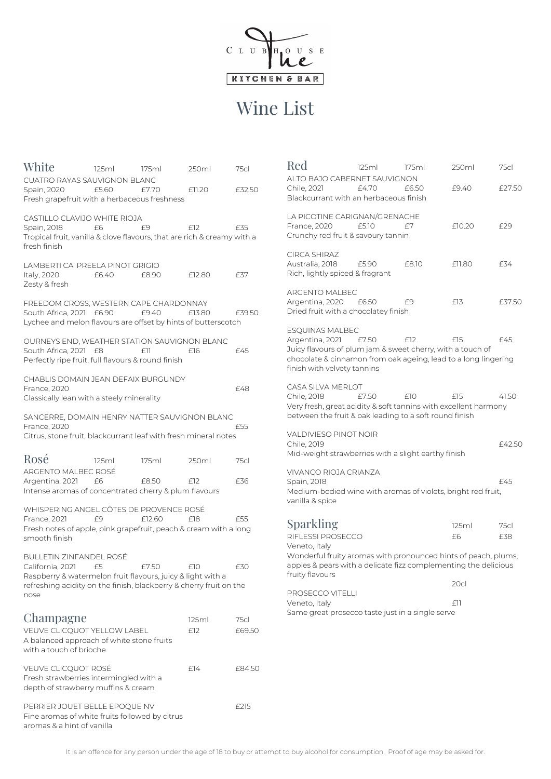It is an offence for any person under the age of 18 to buy or attempt to buy alcohol for consumption. Proof of age may be asked for.



## Wine List

| White                                                                                                                                               | 125ml | 175ml             | 250ml  | 75cl   |
|-----------------------------------------------------------------------------------------------------------------------------------------------------|-------|-------------------|--------|--------|
| <b>CUATRO RAYAS SAUVIGNON BLANC</b><br>Spain, 2020<br>Fresh grapefruit with a herbaceous freshness                                                  | £5.60 | £7.70             | £11.20 | £32.50 |
| CASTILLO CLAVIJO WHITE RIOJA<br>Spain, 2018<br>Tropical fruit, vanilla & clove flavours, that are rich & creamy with a<br>fresh finish              | £6    | £9                | E12    | £35    |
| LAMBERTI CA' PREELA PINOT GRIGIO<br>Italy, 2020<br>Zesty & fresh                                                                                    | £6.40 | £8.90             | £12.80 | £37    |
| FREEDOM CROSS, WESTERN CAPE CHARDONNAY<br>South Africa, 2021<br>Lychee and melon flavours are offset by hints of butterscotch                       | £6.90 | £9.40             | £13.80 | £39.50 |
| OURNEYS END, WEATHER STATION SAUVIGNON BLANC<br>South Africa, 2021 £8<br>Perfectly ripe fruit, full flavours & round finish                         |       | $f$ <sup>11</sup> | £16    | £45    |
|                                                                                                                                                     |       |                   |        |        |
| CHABLIS DOMAIN JEAN DEFAIX BURGUNDY<br><b>France</b> , 2020<br>Classically lean with a steely minerality                                            |       |                   |        | £48    |
| SANCERRE, DOMAIN HENRY NATTER SAUVIGNON BLANC<br><b>France</b> , 2020<br>Citrus, stone fruit, blackcurrant leaf with fresh mineral notes            |       |                   |        | £55    |
| $\mathbf{r}$ $\ell$<br>ROSE                                                                                                                         | 125ml | 175ml             | 250ml  | 75cl   |
| ARGENTO MALBEC ROSÉ<br>Argentina, 2021<br>Intense aromas of concentrated cherry & plum flavours                                                     | £6    | £8.50             | E12    | £36    |
| WHISPERING ANGEL CÔTES DE PROVENCE ROSÉ<br><b>France, 2021</b><br>Fresh notes of apple, pink grapefruit, peach & cream with a long<br>smooth finish | £9    | £12.60            | £18    | £55    |

Champagne 125ml 75cl VEUVE CLICQUOT YELLOW LABEL £12 £69.50 A balanced approach of white stone fruits with a touch of brioche

VEUVE CLICQUOT ROSÉ E14 £84.50 Fresh strawberries intermingled with a depth of strawberry muffins & cream

PERRIER JOUET BELLE EPOQUE NV F215 Fine aromas of white fruits followed by citrus aromas & a hint of vanilla

| BULLETIN ZINFANDEL ROSE.                                           |    |       |      |      |
|--------------------------------------------------------------------|----|-------|------|------|
| California, 2021                                                   | f5 | F7.50 | FIN. | F30. |
| Raspberry & watermelon fruit flavours, juicy & light with a        |    |       |      |      |
| refreshing acidity on the finish, blackberry & cherry fruit on the |    |       |      |      |

nose

| Red                                                                                                                                                                                                              | 125ml | 175ml | 250ml       | 75cl        |
|------------------------------------------------------------------------------------------------------------------------------------------------------------------------------------------------------------------|-------|-------|-------------|-------------|
| ALTO BAJO CABERNET SAUVIGNON<br>Chile, 2021<br>Blackcurrant with an herbaceous finish                                                                                                                            | £4.70 | £6.50 | £9.40       | £27.50      |
| LA PICOTINE CARIGNAN/GRENACHE<br>France, 2020<br>Crunchy red fruit & savoury tannin                                                                                                                              | £5.10 | F7    | £10.20      | £29         |
| CIRCA SHIRAZ<br>Australia, 2018<br>Rich, lightly spiced & fragrant                                                                                                                                               | £5.90 | £8.10 | £11.80      | £34         |
| ARGENTO MALBEC<br>Argentina, 2020<br>Dried fruit with a chocolatey finish                                                                                                                                        | £6.50 | £9    | £13         | £37.50      |
| <b>ESQUINAS MALBEC</b><br>Argentina, 2021   £7.50<br>Juicy flavours of plum jam & sweet cherry, with a touch of<br>chocolate & cinnamon from oak ageing, lead to a long lingering<br>finish with velvety tannins |       | E12   | £15         | £45         |
| CASA SILVA MERLOT<br>Chile, 2018<br>Very fresh, great acidity & soft tannins with excellent harmony<br>between the fruit & oak leading to a soft round finish                                                    | £7.50 | £10   | £15         | 41.50       |
| VALDIVIESO PINOT NOIR<br>Chile, 2019<br>Mid-weight strawberries with a slight earthy finish                                                                                                                      |       |       |             | £42.50      |
| VIVANCO RIOJA CRIANZA<br>Spain, 2018<br>Medium-bodied wine with aromas of violets, bright red fruit,<br>vanilla & spice                                                                                          |       |       |             | £45         |
| Sparkling<br>RIFLESSI PROSECCO<br>Veneto, Italy<br>Wonderful fruity aromas with pronounced hints of peach plums                                                                                                  |       |       | 125ml<br>£6 | 75cl<br>£38 |

Wonderful fruity aromas with pronounced hints of peach, plums, apples & pears with a delicate fizz complementing the delicious fruity flavours

PROSECCO VITELLI Veneto, Italy **Ell** Same great prosecco taste just in a single serve